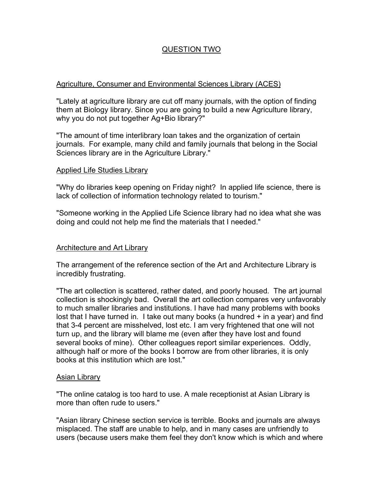# QUESTION TWO

# Agriculture, Consumer and Environmental Sciences Library (ACES)

"Lately at agriculture library are cut off many journals, with the option of finding them at Biology library. Since you are going to build a new Agriculture library, why you do not put together Ag+Bio library?"

"The amount of time interlibrary loan takes and the organization of certain journals. For example, many child and family journals that belong in the Social Sciences library are in the Agriculture Library."

### Applied Life Studies Library

"Why do libraries keep opening on Friday night? In applied life science, there is lack of collection of information technology related to tourism."

"Someone working in the Applied Life Science library had no idea what she was doing and could not help me find the materials that I needed."

### Architecture and Art Library

The arrangement of the reference section of the Art and Architecture Library is incredibly frustrating.

"The art collection is scattered, rather dated, and poorly housed. The art journal collection is shockingly bad. Overall the art collection compares very unfavorably to much smaller libraries and institutions. I have had many problems with books lost that I have turned in. I take out many books (a hundred + in a year) and find that 3-4 percent are misshelved, lost etc. I am very frightened that one will not turn up, and the library will blame me (even after they have lost and found several books of mine). Other colleagues report similar experiences. Oddly, although half or more of the books I borrow are from other libraries, it is only books at this institution which are lost."

### Asian Library

"The online catalog is too hard to use. A male receptionist at Asian Library is more than often rude to users."

"Asian library Chinese section service is terrible. Books and journals are always misplaced. The staff are unable to help, and in many cases are unfriendly to users (because users make them feel they don't know which is which and where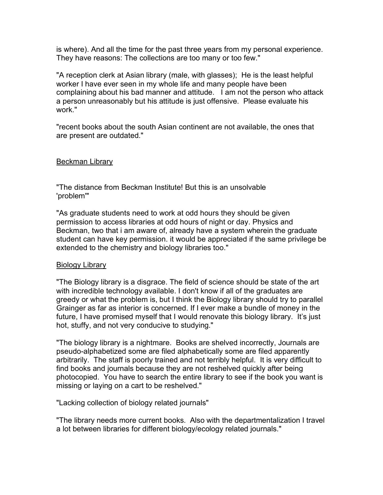is where). And all the time for the past three years from my personal experience. They have reasons: The collections are too many or too few."

"A reception clerk at Asian library (male, with glasses); He is the least helpful worker I have ever seen in my whole life and many people have been complaining about his bad manner and attitude. I am not the person who attack a person unreasonably but his attitude is just offensive. Please evaluate his work."

"recent books about the south Asian continent are not available, the ones that are present are outdated."

### Beckman Library

"The distance from Beckman Institute! But this is an unsolvable 'problem'"

"As graduate students need to work at odd hours they should be given permission to access libraries at odd hours of night or day. Physics and Beckman, two that i am aware of, already have a system wherein the graduate student can have key permission. it would be appreciated if the same privilege be extended to the chemistry and biology libraries too."

# Biology Library

"The Biology library is a disgrace. The field of science should be state of the art with incredible technology available. I don't know if all of the graduates are greedy or what the problem is, but I think the Biology library should try to parallel Grainger as far as interior is concerned. If I ever make a bundle of money in the future, I have promised myself that I would renovate this biology library. It's just hot, stuffy, and not very conducive to studying."

"The biology library is a nightmare. Books are shelved incorrectly, Journals are pseudo-alphabetized some are filed alphabetically some are filed apparently arbitrarily. The staff is poorly trained and not terribly helpful. It is very difficult to find books and journals because they are not reshelved quickly after being photocopied. You have to search the entire library to see if the book you want is missing or laying on a cart to be reshelved."

### "Lacking collection of biology related journals"

"The library needs more current books. Also with the departmentalization I travel a lot between libraries for different biology/ecology related journals."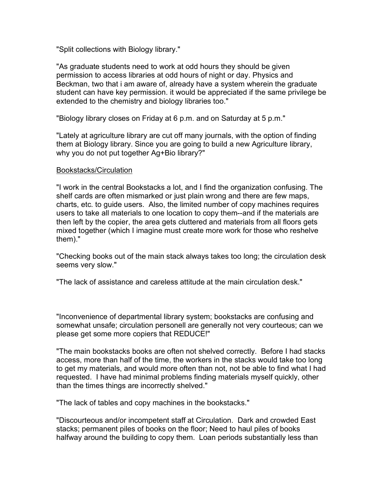"Split collections with Biology library."

"As graduate students need to work at odd hours they should be given permission to access libraries at odd hours of night or day. Physics and Beckman, two that i am aware of, already have a system wherein the graduate student can have key permission. it would be appreciated if the same privilege be extended to the chemistry and biology libraries too."

"Biology library closes on Friday at 6 p.m. and on Saturday at 5 p.m."

"Lately at agriculture library are cut off many journals, with the option of finding them at Biology library. Since you are going to build a new Agriculture library, why you do not put together Ag+Bio library?"

### Bookstacks/Circulation

"I work in the central Bookstacks a lot, and I find the organization confusing. The shelf cards are often mismarked or just plain wrong and there are few maps, charts, etc. to guide users. Also, the limited number of copy machines requires users to take all materials to one location to copy them--and if the materials are then left by the copier, the area gets cluttered and materials from all floors gets mixed together (which I imagine must create more work for those who reshelve them)."

"Checking books out of the main stack always takes too long; the circulation desk seems very slow."

"The lack of assistance and careless attitude at the main circulation desk."

"Inconvenience of departmental library system; bookstacks are confusing and somewhat unsafe; circulation personell are generally not very courteous; can we please get some more copiers that REDUCE!"

"The main bookstacks books are often not shelved correctly. Before I had stacks access, more than half of the time, the workers in the stacks would take too long to get my materials, and would more often than not, not be able to find what I had requested. I have had minimal problems finding materials myself quickly, other than the times things are incorrectly shelved."

"The lack of tables and copy machines in the bookstacks."

"Discourteous and/or incompetent staff at Circulation. Dark and crowded East stacks; permanent piles of books on the floor; Need to haul piles of books halfway around the building to copy them. Loan periods substantially less than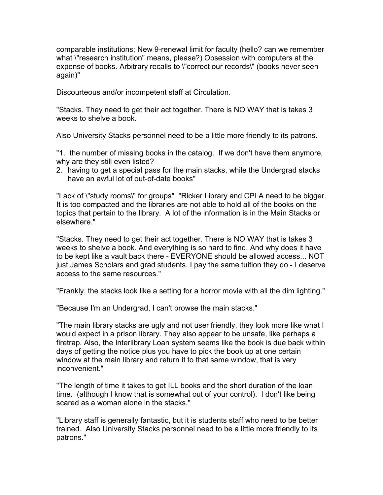comparable institutions; New 9-renewal limit for faculty (hello? can we remember what \"research institution" means, please?) Obsession with computers at the expense of books. Arbitrary recalls to \"correct our records\" (books never seen again)"

Discourteous and/or incompetent staff at Circulation.

"Stacks. They need to get their act together. There is NO WAY that is takes 3 weeks to shelve a book.

Also University Stacks personnel need to be a little more friendly to its patrons.

"1. the number of missing books in the catalog. If we don't have them anymore, why are they still even listed?

2. having to get a special pass for the main stacks, while the Undergrad stacks have an awful lot of out-of-date books"

"Lack of \"study rooms\" for groups" "Ricker Library and CPLA need to be bigger. It is too compacted and the libraries are not able to hold all of the books on the topics that pertain to the library. A lot of the information is in the Main Stacks or elsewhere."

"Stacks. They need to get their act together. There is NO WAY that is takes 3 weeks to shelve a book. And everything is so hard to find. And why does it have to be kept like a vault back there - EVERYONE should be allowed access... NOT just James Scholars and grad students. I pay the same tuition they do - I deserve access to the same resources."

"Frankly, the stacks look like a setting for a horror movie with all the dim lighting."

"Because I'm an Undergrad, I can't browse the main stacks."

"The main library stacks are ugly and not user friendly, they look more like what I would expect in a prison library. They also appear to be unsafe, like perhaps a firetrap. Also, the Interlibrary Loan system seems like the book is due back within days of getting the notice plus you have to pick the book up at one certain window at the main library and return it to that same window, that is very inconvenient."

"The length of time it takes to get ILL books and the short duration of the loan time. (although I know that is somewhat out of your control). I don't like being scared as a woman alone in the stacks."

"Library staff is generally fantastic, but it is students staff who need to be better trained. Also University Stacks personnel need to be a little more friendly to its patrons."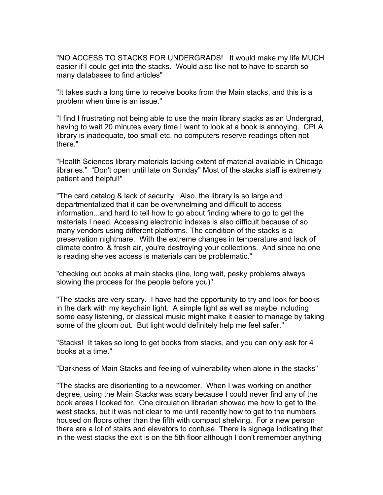"NO ACCESS TO STACKS FOR UNDERGRADS! It would make my life MUCH easier if I could get into the stacks. Would also like not to have to search so many databases to find articles"

"It takes such a long time to receive books from the Main stacks, and this is a problem when time is an issue."

"I find I frustrating not being able to use the main library stacks as an Undergrad, having to wait 20 minutes every time I want to look at a book is annoying. CPLA library is inadequate, too small etc, no computers reserve readings often not there."

"Health Sciences library materials lacking extent of material available in Chicago libraries." "Don't open until late on Sunday" Most of the stacks staff is extremely patient and helpful!"

"The card catalog & lack of security. Also, the library is so large and departmentalized that it can be overwhelming and difficult to access information...and hard to tell how to go about finding where to go to get the materials I need. Accessing electronic indexes is also difficult because of so many vendors using different platforms. The condition of the stacks is a preservation nightmare. With the extreme changes in temperature and lack of climate control & fresh air, you're destroying your collections. And since no one is reading shelves access is materials can be problematic."

"checking out books at main stacks (line, long wait, pesky problems always slowing the process for the people before you)"

"The stacks are very scary. I have had the opportunity to try and look for books in the dark with my keychain light. A simple light as well as maybe including some easy listening, or classical music might make it easier to manage by taking some of the gloom out. But light would definitely help me feel safer."

"Stacks! It takes so long to get books from stacks, and you can only ask for 4 books at a time."

"Darkness of Main Stacks and feeling of vulnerability when alone in the stacks"

"The stacks are disorienting to a newcomer. When I was working on another degree, using the Main Stacks was scary because I could never find any of the book areas I looked for. One circulation librarian showed me how to get to the west stacks, but it was not clear to me until recently how to get to the numbers housed on floors other than the fifth with compact shelving. For a new person there are a lot of stairs and elevators to confuse. There is signage indicating that in the west stacks the exit is on the 5th floor although I don't remember anything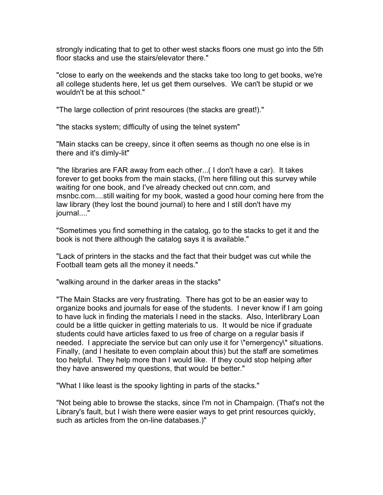strongly indicating that to get to other west stacks floors one must go into the 5th floor stacks and use the stairs/elevator there."

"close to early on the weekends and the stacks take too long to get books, we're all college students here, let us get them ourselves. We can't be stupid or we wouldn't be at this school."

"The large collection of print resources (the stacks are great!)."

"the stacks system; difficulty of using the telnet system"

"Main stacks can be creepy, since it often seems as though no one else is in there and it's dimly-lit"

"the libraries are FAR away from each other...( I don't have a car). It takes forever to get books from the main stacks, (I'm here filling out this survey while waiting for one book, and I've already checked out cnn.com, and msnbc.com....still waiting for my book, wasted a good hour coming here from the law library (they lost the bound journal) to here and I still don't have my iournal...."

"Sometimes you find something in the catalog, go to the stacks to get it and the book is not there although the catalog says it is available."

"Lack of printers in the stacks and the fact that their budget was cut while the Football team gets all the money it needs."

"walking around in the darker areas in the stacks"

"The Main Stacks are very frustrating. There has got to be an easier way to organize books and journals for ease of the students. I never know if I am going to have luck in finding the materials I need in the stacks. Also, Interlibrary Loan could be a little quicker in getting materials to us. It would be nice if graduate students could have articles faxed to us free of charge on a regular basis if needed. I appreciate the service but can only use it for \"emergency\" situations. Finally, (and I hesitate to even complain about this) but the staff are sometimes too helpful. They help more than I would like. If they could stop helping after they have answered my questions, that would be better."

"What I like least is the spooky lighting in parts of the stacks."

"Not being able to browse the stacks, since I'm not in Champaign. (That's not the Library's fault, but I wish there were easier ways to get print resources quickly, such as articles from the on-line databases.)"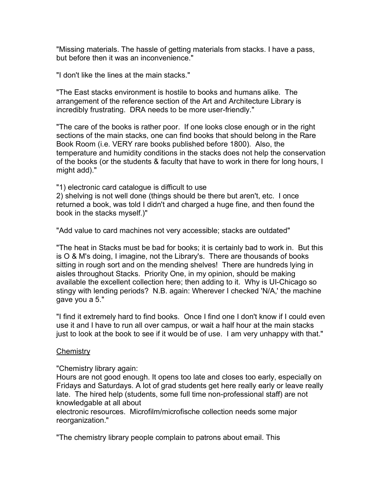"Missing materials. The hassle of getting materials from stacks. I have a pass, but before then it was an inconvenience."

"I don't like the lines at the main stacks."

"The East stacks environment is hostile to books and humans alike. The arrangement of the reference section of the Art and Architecture Library is incredibly frustrating. DRA needs to be more user-friendly."

"The care of the books is rather poor. If one looks close enough or in the right sections of the main stacks, one can find books that should belong in the Rare Book Room (i.e. VERY rare books published before 1800). Also, the temperature and humidity conditions in the stacks does not help the conservation of the books (or the students & faculty that have to work in there for long hours, I might add)."

"1) electronic card catalogue is difficult to use

2) shelving is not well done (things should be there but aren't, etc. I once returned a book, was told I didn't and charged a huge fine, and then found the book in the stacks myself.)"

"Add value to card machines not very accessible; stacks are outdated"

"The heat in Stacks must be bad for books; it is certainly bad to work in. But this is O & M's doing, I imagine, not the Library's. There are thousands of books sitting in rough sort and on the mending shelves! There are hundreds lying in aisles throughout Stacks. Priority One, in my opinion, should be making available the excellent collection here; then adding to it. Why is UI-Chicago so stingy with lending periods? N.B. again: Wherever I checked 'N/A,' the machine gave you a 5."

"I find it extremely hard to find books. Once I find one I don't know if I could even use it and I have to run all over campus, or wait a half hour at the main stacks just to look at the book to see if it would be of use. I am very unhappy with that."

### **Chemistry**

"Chemistry library again:

Hours are not good enough. It opens too late and closes too early, especially on Fridays and Saturdays. A lot of grad students get here really early or leave really late. The hired help (students, some full time non-professional staff) are not knowledgable at all about

electronic resources. Microfilm/microfische collection needs some major reorganization."

"The chemistry library people complain to patrons about email. This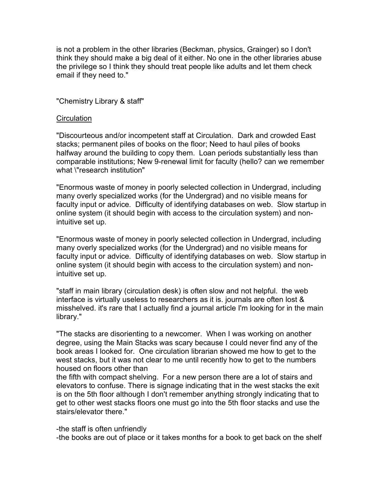is not a problem in the other libraries (Beckman, physics, Grainger) so I don't think they should make a big deal of it either. No one in the other libraries abuse the privilege so I think they should treat people like adults and let them check email if they need to."

# "Chemistry Library & staff"

### **Circulation**

"Discourteous and/or incompetent staff at Circulation. Dark and crowded East stacks; permanent piles of books on the floor; Need to haul piles of books halfway around the building to copy them. Loan periods substantially less than comparable institutions; New 9-renewal limit for faculty (hello? can we remember what \"research institution"

"Enormous waste of money in poorly selected collection in Undergrad, including many overly specialized works (for the Undergrad) and no visible means for faculty input or advice. Difficulty of identifying databases on web. Slow startup in online system (it should begin with access to the circulation system) and nonintuitive set up.

"Enormous waste of money in poorly selected collection in Undergrad, including many overly specialized works (for the Undergrad) and no visible means for faculty input or advice. Difficulty of identifying databases on web. Slow startup in online system (it should begin with access to the circulation system) and nonintuitive set up.

"staff in main library (circulation desk) is often slow and not helpful. the web interface is virtually useless to researchers as it is. journals are often lost & misshelved. it's rare that I actually find a journal article I'm looking for in the main library."

"The stacks are disorienting to a newcomer. When I was working on another degree, using the Main Stacks was scary because I could never find any of the book areas I looked for. One circulation librarian showed me how to get to the west stacks, but it was not clear to me until recently how to get to the numbers housed on floors other than

the fifth with compact shelving. For a new person there are a lot of stairs and elevators to confuse. There is signage indicating that in the west stacks the exit is on the 5th floor although I don't remember anything strongly indicating that to get to other west stacks floors one must go into the 5th floor stacks and use the stairs/elevator there."

-the staff is often unfriendly

-the books are out of place or it takes months for a book to get back on the shelf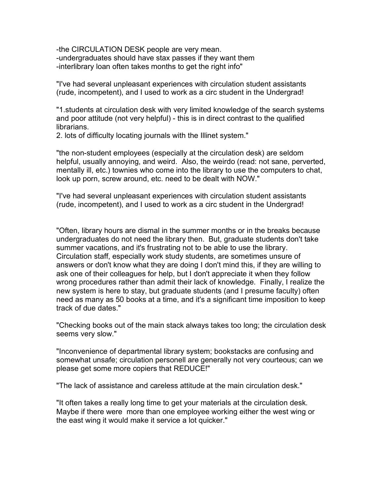-the CIRCULATION DESK people are very mean. -undergraduates should have stax passes if they want them -interlibrary loan often takes months to get the right info"

"I've had several unpleasant experiences with circulation student assistants (rude, incompetent), and I used to work as a circ student in the Undergrad!

"1.students at circulation desk with very limited knowledge of the search systems and poor attitude (not very helpful) - this is in direct contrast to the qualified librarians.

2. lots of difficulty locating journals with the Illinet system."

"the non-student employees (especially at the circulation desk) are seldom helpful, usually annoying, and weird. Also, the weirdo (read: not sane, perverted, mentally ill, etc.) townies who come into the library to use the computers to chat, look up porn, screw around, etc. need to be dealt with NOW."

"I've had several unpleasant experiences with circulation student assistants (rude, incompetent), and I used to work as a circ student in the Undergrad!

"Often, library hours are dismal in the summer months or in the breaks because undergraduates do not need the library then. But, graduate students don't take summer vacations, and it's frustrating not to be able to use the library. Circulation staff, especially work study students, are sometimes unsure of answers or don't know what they are doing I don't mind this, if they are willing to ask one of their colleagues for help, but I don't appreciate it when they follow wrong procedures rather than admit their lack of knowledge. Finally, I realize the new system is here to stay, but graduate students (and I presume faculty) often need as many as 50 books at a time, and it's a significant time imposition to keep track of due dates."

"Checking books out of the main stack always takes too long; the circulation desk seems very slow."

"Inconvenience of departmental library system; bookstacks are confusing and somewhat unsafe; circulation personell are generally not very courteous; can we please get some more copiers that REDUCE!"

"The lack of assistance and careless attitude at the main circulation desk."

"It often takes a really long time to get your materials at the circulation desk. Maybe if there were more than one employee working either the west wing or the east wing it would make it service a lot quicker."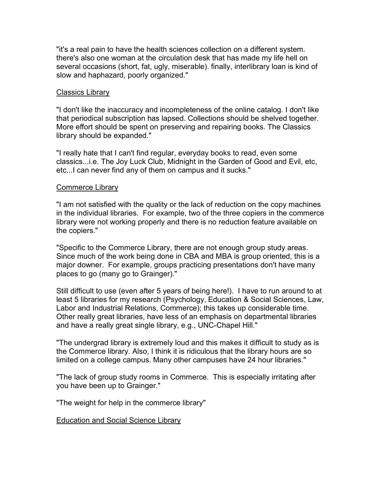"it's a real pain to have the health sciences collection on a different system. there's also one woman at the circulation desk that has made my life hell on several occasions (short, fat, ugly, miserable). finally, interlibrary loan is kind of slow and haphazard, poorly organized."

### **Classics Library**

"I don't like the inaccuracy and incompleteness of the online catalog. I don't like that periodical subscription has lapsed. Collections should be shelved together. More effort should be spent on preserving and repairing books. The Classics library should be expanded."

"I really hate that I can't find regular, everyday books to read, even some classics...i.e. The Joy Luck Club, Midnight in the Garden of Good and Evil, etc, etc...I can never find any of them on campus and it sucks."

### Commerce Library

"I am not satisfied with the quality or the lack of reduction on the copy machines in the individual libraries. For example, two of the three copiers in the commerce library were not working properly and there is no reduction feature available on the copiers."

"Specific to the Commerce Library, there are not enough group study areas. Since much of the work being done in CBA and MBA is group oriented, this is a major downer. For example, groups practicing presentations don't have many places to go (many go to Grainger)."

Still difficult to use (even after 5 years of being here!). I have to run around to at least 5 libraries for my research (Psychology, Education & Social Sciences, Law, Labor and Industrial Relations, Commerce); this takes up considerable time. Other really great libraries, have less of an emphasis on departmental libraries and have a really great single library, e.g., UNC-Chapel Hill."

"The undergrad library is extremely loud and this makes it difficult to study as is the Commerce library. Also, I think it is ridiculous that the library hours are so limited on a college campus. Many other campuses have 24 hour libraries."

"The lack of group study rooms in Commerce. This is especially irritating after you have been up to Grainger."

"The weight for help in the commerce library"

Education and Social Science Library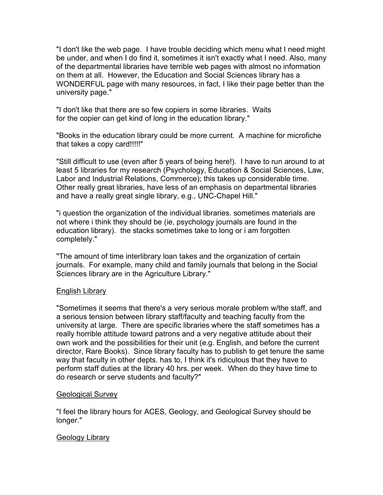"I don't like the web page. I have trouble deciding which menu what I need might be under, and when I do find it, sometimes it isn't exactly what I need. Also, many of the departmental libraries have terrible web pages with almost no information on them at all. However, the Education and Social Sciences library has a WONDERFUL page with many resources, in fact, I like their page better than the university page."

"I don't like that there are so few copiers in some libraries. Waits for the copier can get kind of long in the education library."

"Books in the education library could be more current. A machine for microfiche that takes a copy card!!!!!"

"Still difficult to use (even after 5 years of being here!). I have to run around to at least 5 libraries for my research (Psychology, Education & Social Sciences, Law, Labor and Industrial Relations, Commerce); this takes up considerable time. Other really great libraries, have less of an emphasis on departmental libraries and have a really great single library, e.g., UNC-Chapel Hill."

"i question the organization of the individual libraries. sometimes materials are not where i think they should be (ie, psychology journals are found in the education library). the stacks sometimes take to long or i am forgotten completely."

"The amount of time interlibrary loan takes and the organization of certain journals. For example, many child and family journals that belong in the Social Sciences library are in the Agriculture Library."

# English Library

"Sometimes it seems that there's a very serious morale problem w/the staff, and a serious tension between library staff/faculty and teaching faculty from the university at large. There are specific libraries where the staff sometimes has a really horrible attitude toward patrons and a very negative attitude about their own work and the possibilities for their unit (e.g. English, and before the current director, Rare Books). Since library faculty has to publish to get tenure the same way that faculty in other depts. has to, I think it's ridiculous that they have to perform staff duties at the library 40 hrs. per week. When do they have time to do research or serve students and faculty?"

# Geological Survey

"I feel the library hours for ACES, Geology, and Geological Survey should be longer."

# Geology Library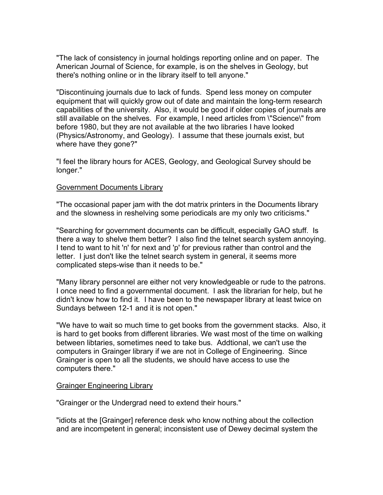"The lack of consistency in journal holdings reporting online and on paper. The American Journal of Science, for example, is on the shelves in Geology, but there's nothing online or in the library itself to tell anyone."

"Discontinuing journals due to lack of funds. Spend less money on computer equipment that will quickly grow out of date and maintain the long-term research capabilities of the university. Also, it would be good if older copies of journals are still available on the shelves. For example, I need articles from \"Science\" from before 1980, but they are not available at the two libraries I have looked (Physics/Astronomy, and Geology). I assume that these journals exist, but where have they gone?"

"I feel the library hours for ACES, Geology, and Geological Survey should be longer."

### Government Documents Library

"The occasional paper jam with the dot matrix printers in the Documents library and the slowness in reshelving some periodicals are my only two criticisms."

"Searching for government documents can be difficult, especially GAO stuff. Is there a way to shelve them better? I also find the telnet search system annoying. I tend to want to hit 'n' for next and 'p' for previous rather than control and the letter. I just don't like the telnet search system in general, it seems more complicated steps-wise than it needs to be."

"Many library personnel are either not very knowledgeable or rude to the patrons. I once need to find a governmental document. I ask the librarian for help, but he didn't know how to find it. I have been to the newspaper library at least twice on Sundays between 12-1 and it is not open."

"We have to wait so much time to get books from the government stacks. Also, it is hard to get books from different libraries. We wast most of the time on walking between libtaries, sometimes need to take bus. Addtional, we can't use the computers in Grainger library if we are not in College of Engineering. Since Grainger is open to all the students, we should have access to use the computers there."

### Grainger Engineering Library

"Grainger or the Undergrad need to extend their hours."

"idiots at the [Grainger] reference desk who know nothing about the collection and are incompetent in general; inconsistent use of Dewey decimal system the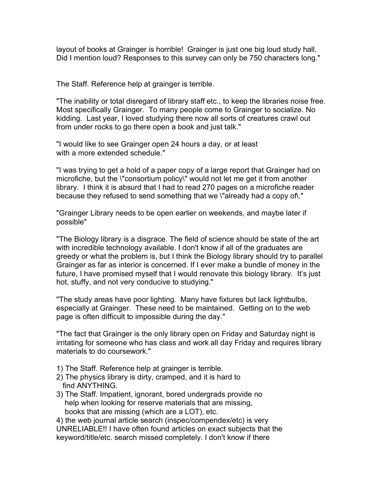layout of books at Grainger is horrible! Grainger is just one big loud study hall. Did I mention loud? Responses to this survey can only be 750 characters long."

The Staff. Reference help at grainger is terrible.

"The inability or total disregard of library staff etc., to keep the libraries noise free. Most specifically Grainger. To many people come to Grainger to socialize. No kidding. Last year, I loved studying there now all sorts of creatures crawl out from under rocks to go there open a book and just talk."

"I would like to see Grainger open 24 hours a day, or at least with a more extended schedule."

"I was trying to get a hold of a paper copy of a large report that Grainger had on microfiche, but the \"consortium policy\" would not let me get it from another library. I think it is absurd that I had to read 270 pages on a microfiche reader because they refused to send something that we \"already had a copy of\."

"Grainger Library needs to be open earlier on weekends, and maybe later if possible"

"The Biology library is a disgrace. The field of science should be state of the art with incredible technology available. I don't know if all of the graduates are greedy or what the problem is, but I think the Biology library should try to parallel Grainger as far as interior is concerned. If I ever make a bundle of money in the future, I have promised myself that I would renovate this biology library. It's just hot, stuffy, and not very conducive to studying."

"The study areas have poor lighting. Many have fixtures but lack lightbulbs, especially at Grainger. These need to be maintained. Getting on to the web page is often difficult to impossible during the day."

"The fact that Grainger is the only library open on Friday and Saturday night is irritating for someone who has class and work all day Friday and requires library materials to do coursework."

- 1) The Staff. Reference help at grainger is terrible.
- 2) The physics library is dirty, cramped, and it is hard to find ANYTHING.
- 3) The Staff. Impatient, ignorant, bored undergrads provide no help when looking for reserve materials that are missing, books that are missing (which are a LOT), etc.

4) the web journal article search (inspec/compendex/etc) is very UNRELIABLE!! I have often found articles on exact subjects that the keyword/title/etc. search missed completely. I don't know if there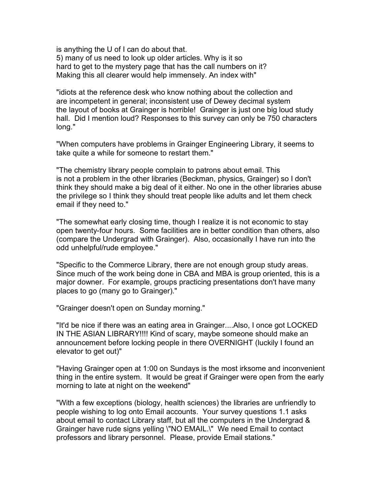is anything the U of I can do about that. 5) many of us need to look up older articles. Why is it so hard to get to the mystery page that has the call numbers on it? Making this all clearer would help immensely. An index with"

"idiots at the reference desk who know nothing about the collection and are incompetent in general; inconsistent use of Dewey decimal system the layout of books at Grainger is horrible! Grainger is just one big loud study hall. Did I mention loud? Responses to this survey can only be 750 characters long."

"When computers have problems in Grainger Engineering Library, it seems to take quite a while for someone to restart them."

"The chemistry library people complain to patrons about email. This is not a problem in the other libraries (Beckman, physics, Grainger) so I don't think they should make a big deal of it either. No one in the other libraries abuse the privilege so I think they should treat people like adults and let them check email if they need to."

"The somewhat early closing time, though I realize it is not economic to stay open twenty-four hours. Some facilities are in better condition than others, also (compare the Undergrad with Grainger). Also, occasionally I have run into the odd unhelpful/rude employee."

"Specific to the Commerce Library, there are not enough group study areas. Since much of the work being done in CBA and MBA is group oriented, this is a major downer. For example, groups practicing presentations don't have many places to go (many go to Grainger)."

"Grainger doesn't open on Sunday morning."

"It'd be nice if there was an eating area in Grainger....Also, I once got LOCKED IN THE ASIAN LIBRARY!!!! Kind of scary, maybe someone should make an announcement before locking people in there OVERNIGHT (luckily I found an elevator to get out)"

"Having Grainger open at 1:00 on Sundays is the most irksome and inconvenient thing in the entire system. It would be great if Grainger were open from the early morning to late at night on the weekend"

"With a few exceptions (biology, health sciences) the libraries are unfriendly to people wishing to log onto Email accounts. Your survey questions 1.1 asks about email to contact Library staff, but all the computers in the Undergrad & Grainger have rude signs yelling \"NO EMAIL.\" We need Email to contact professors and library personnel. Please, provide Email stations."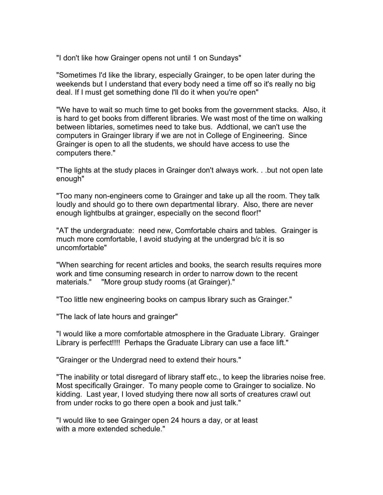"I don't like how Grainger opens not until 1 on Sundays"

"Sometimes I'd like the library, especially Grainger, to be open later during the weekends but I understand that every body need a time off so it's really no big deal. If I must get something done I'll do it when you're open"

"We have to wait so much time to get books from the government stacks. Also, it is hard to get books from different libraries. We wast most of the time on walking between libtaries, sometimes need to take bus. Addtional, we can't use the computers in Grainger library if we are not in College of Engineering. Since Grainger is open to all the students, we should have access to use the computers there."

"The lights at the study places in Grainger don't always work. . .but not open late enough"

"Too many non-engineers come to Grainger and take up all the room. They talk loudly and should go to there own departmental library. Also, there are never enough lightbulbs at grainger, especially on the second floor!"

"AT the undergraduate: need new, Comfortable chairs and tables. Grainger is much more comfortable, I avoid studying at the undergrad b/c it is so uncomfortable"

"When searching for recent articles and books, the search results requires more work and time consuming research in order to narrow down to the recent materials." "More group study rooms (at Grainger)."

"Too little new engineering books on campus library such as Grainger."

"The lack of late hours and grainger"

"I would like a more comfortable atmosphere in the Graduate Library. Grainger Library is perfect!!!! Perhaps the Graduate Library can use a face lift."

"Grainger or the Undergrad need to extend their hours."

"The inability or total disregard of library staff etc., to keep the libraries noise free. Most specifically Grainger. To many people come to Grainger to socialize. No kidding. Last year, I loved studying there now all sorts of creatures crawl out from under rocks to go there open a book and just talk."

"I would like to see Grainger open 24 hours a day, or at least with a more extended schedule."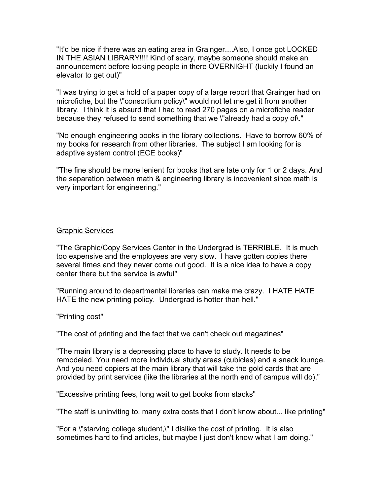"It'd be nice if there was an eating area in Grainger....Also, I once got LOCKED IN THE ASIAN LIBRARY!!!! Kind of scary, maybe someone should make an announcement before locking people in there OVERNIGHT (luckily I found an elevator to get out)"

"I was trying to get a hold of a paper copy of a large report that Grainger had on microfiche, but the \"consortium policy\" would not let me get it from another library. I think it is absurd that I had to read 270 pages on a microfiche reader because they refused to send something that we \"already had a copy of\."

"No enough engineering books in the library collections. Have to borrow 60% of my books for research from other libraries. The subject I am looking for is adaptive system control (ECE books)"

"The fine should be more lenient for books that are late only for 1 or 2 days. And the separation between math & engineering library is incovenient since math is very important for engineering."

### Graphic Services

"The Graphic/Copy Services Center in the Undergrad is TERRIBLE. It is much too expensive and the employees are very slow. I have gotten copies there several times and they never come out good. It is a nice idea to have a copy center there but the service is awful"

"Running around to departmental libraries can make me crazy. I HATE HATE HATE the new printing policy. Undergrad is hotter than hell."

"Printing cost"

"The cost of printing and the fact that we can't check out magazines"

"The main library is a depressing place to have to study. It needs to be remodeled. You need more individual study areas (cubicles) and a snack lounge. And you need copiers at the main library that will take the gold cards that are provided by print services (like the libraries at the north end of campus will do)."

"Excessive printing fees, long wait to get books from stacks"

"The staff is uninviting to. many extra costs that I don't know about... like printing"

"For a \"starving college student,\" I dislike the cost of printing. It is also sometimes hard to find articles, but maybe I just don't know what I am doing."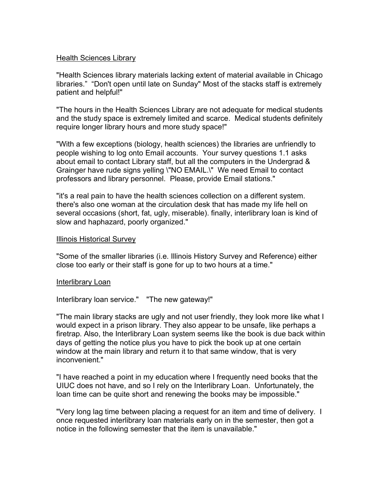### Health Sciences Library

"Health Sciences library materials lacking extent of material available in Chicago libraries." "Don't open until late on Sunday" Most of the stacks staff is extremely patient and helpful!"

"The hours in the Health Sciences Library are not adequate for medical students and the study space is extremely limited and scarce. Medical students definitely require longer library hours and more study space!"

"With a few exceptions (biology, health sciences) the libraries are unfriendly to people wishing to log onto Email accounts. Your survey questions 1.1 asks about email to contact Library staff, but all the computers in the Undergrad & Grainger have rude signs yelling \"NO EMAIL.\" We need Email to contact professors and library personnel. Please, provide Email stations."

"it's a real pain to have the health sciences collection on a different system. there's also one woman at the circulation desk that has made my life hell on several occasions (short, fat, ugly, miserable). finally, interlibrary loan is kind of slow and haphazard, poorly organized."

### Illinois Historical Survey

"Some of the smaller libraries (i.e. Illinois History Survey and Reference) either close too early or their staff is gone for up to two hours at a time."

### Interlibrary Loan

Interlibrary loan service." "The new gateway!"

"The main library stacks are ugly and not user friendly, they look more like what I would expect in a prison library. They also appear to be unsafe, like perhaps a firetrap. Also, the Interlibrary Loan system seems like the book is due back within days of getting the notice plus you have to pick the book up at one certain window at the main library and return it to that same window, that is very inconvenient."

"I have reached a point in my education where I frequently need books that the UIUC does not have, and so I rely on the Interlibrary Loan. Unfortunately, the loan time can be quite short and renewing the books may be impossible."

"Very long lag time between placing a request for an item and time of delivery. I once requested interlibrary loan materials early on in the semester, then got a notice in the following semester that the item is unavailable."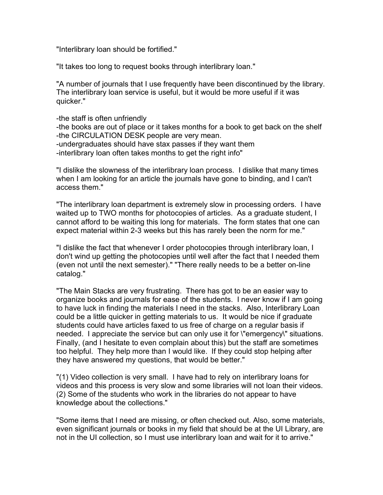"Interlibrary loan should be fortified."

"It takes too long to request books through interlibrary loan."

"A number of journals that I use frequently have been discontinued by the library. The interlibrary loan service is useful, but it would be more useful if it was quicker."

-the staff is often unfriendly

-the books are out of place or it takes months for a book to get back on the shelf -the CIRCULATION DESK people are very mean.

-undergraduates should have stax passes if they want them

-interlibrary loan often takes months to get the right info"

"I dislike the slowness of the interlibrary loan process. I dislike that many times when I am looking for an article the journals have gone to binding, and I can't access them."

"The interlibrary loan department is extremely slow in processing orders. I have waited up to TWO months for photocopies of articles. As a graduate student, I cannot afford to be waiting this long for materials. The form states that one can expect material within 2-3 weeks but this has rarely been the norm for me."

"I dislike the fact that whenever I order photocopies through interlibrary loan, I don't wind up getting the photocopies until well after the fact that I needed them (even not until the next semester)." "There really needs to be a better on-line catalog."

"The Main Stacks are very frustrating. There has got to be an easier way to organize books and journals for ease of the students. I never know if I am going to have luck in finding the materials I need in the stacks. Also, Interlibrary Loan could be a little quicker in getting materials to us. It would be nice if graduate students could have articles faxed to us free of charge on a regular basis if needed. I appreciate the service but can only use it for \"emergency\" situations. Finally, (and I hesitate to even complain about this) but the staff are sometimes too helpful. They help more than I would like. If they could stop helping after they have answered my questions, that would be better."

"(1) Video collection is very small. I have had to rely on interlibrary loans for videos and this process is very slow and some libraries will not loan their videos. (2) Some of the students who work in the libraries do not appear to have knowledge about the collections."

"Some items that I need are missing, or often checked out. Also, some materials, even significant journals or books in my field that should be at the UI Library, are not in the UI collection, so I must use interlibrary loan and wait for it to arrive."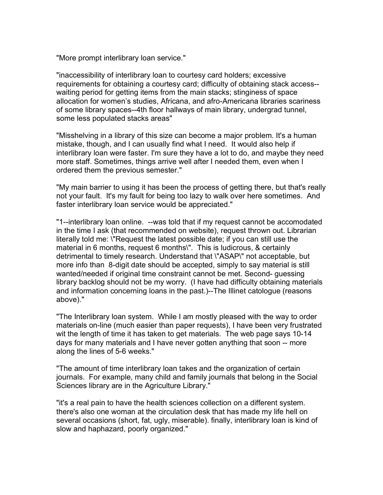"More prompt interlibrary loan service."

"inaccessibility of interlibrary loan to courtesy card holders; excessive requirements for obtaining a courtesy card; difficulty of obtaining stack access- waiting period for getting items from the main stacks; stinginess of space allocation for women's studies, Africana, and afro-Americana libraries scariness of some library spaces--4th floor hallways of main library, undergrad tunnel, some less populated stacks areas"

"Misshelving in a library of this size can become a major problem. It's a human mistake, though, and I can usually find what I need. It would also help if interlibrary loan were faster. I'm sure they have a lot to do, and maybe they need more staff. Sometimes, things arrive well after I needed them, even when I ordered them the previous semester."

"My main barrier to using it has been the process of getting there, but that's really not your fault. It's my fault for being too lazy to walk over here sometimes. And faster interlibrary loan service would be appreciated."

"1--interlibrary loan online. --was told that if my request cannot be accomodated in the time I ask (that recommended on website), request thrown out. Librarian literally told me: \"Request the latest possible date; if you can still use the material in 6 months, request 6 months\". This is ludicrous, & certainly detrimental to timely research. Understand that \"ASAP\" not acceptable, but more info than 8-digit date should be accepted, simply to say material is still wanted/needed if original time constraint cannot be met. Second- guessing library backlog should not be my worry. (I have had difficulty obtaining materials and information concerning loans in the past.)--The Illinet catologue (reasons above)."

"The Interlibrary loan system. While I am mostly pleased with the way to order materials on-line (much easier than paper requests), I have been very frustrated wit the length of time it has taken to get materials. The web page says 10-14 days for many materials and I have never gotten anything that soon -- more along the lines of 5-6 weeks."

"The amount of time interlibrary loan takes and the organization of certain journals. For example, many child and family journals that belong in the Social Sciences library are in the Agriculture Library."

"it's a real pain to have the health sciences collection on a different system. there's also one woman at the circulation desk that has made my life hell on several occasions (short, fat, ugly, miserable). finally, interlibrary loan is kind of slow and haphazard, poorly organized."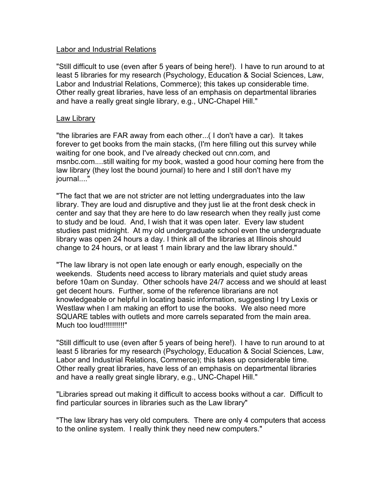### Labor and Industrial Relations

"Still difficult to use (even after 5 years of being here!). I have to run around to at least 5 libraries for my research (Psychology, Education & Social Sciences, Law, Labor and Industrial Relations, Commerce); this takes up considerable time. Other really great libraries, have less of an emphasis on departmental libraries and have a really great single library, e.g., UNC-Chapel Hill."

### Law Library

"the libraries are FAR away from each other...( I don't have a car). It takes forever to get books from the main stacks, (I'm here filling out this survey while waiting for one book, and I've already checked out cnn.com, and msnbc.com....still waiting for my book, wasted a good hour coming here from the law library (they lost the bound journal) to here and I still don't have my journal...."

"The fact that we are not stricter are not letting undergraduates into the law library. They are loud and disruptive and they just lie at the front desk check in center and say that they are here to do law research when they really just come to study and be loud. And, I wish that it was open later. Every law student studies past midnight. At my old undergraduate school even the undergraduate library was open 24 hours a day. I think all of the libraries at Illinois should change to 24 hours, or at least 1 main library and the law library should."

"The law library is not open late enough or early enough, especially on the weekends. Students need access to library materials and quiet study areas before 10am on Sunday. Other schools have 24/7 access and we should at least get decent hours. Further, some of the reference librarians are not knowledgeable or helpful in locating basic information, suggesting I try Lexis or Westlaw when I am making an effort to use the books. We also need more SQUARE tables with outlets and more carrels separated from the main area. Much too loud!!!!!!!!!!!!!

"Still difficult to use (even after 5 years of being here!). I have to run around to at least 5 libraries for my research (Psychology, Education & Social Sciences, Law, Labor and Industrial Relations, Commerce); this takes up considerable time. Other really great libraries, have less of an emphasis on departmental libraries and have a really great single library, e.g., UNC-Chapel Hill."

"Libraries spread out making it difficult to access books without a car. Difficult to find particular sources in libraries such as the Law library"

"The law library has very old computers. There are only 4 computers that access to the online system. I really think they need new computers."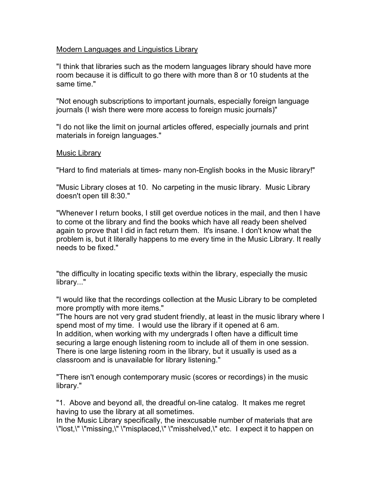# Modern Languages and Linguistics Library

"I think that libraries such as the modern languages library should have more room because it is difficult to go there with more than 8 or 10 students at the same time."

"Not enough subscriptions to important journals, especially foreign language journals (I wish there were more access to foreign music journals)"

"I do not like the limit on journal articles offered, especially journals and print materials in foreign languages."

# Music Library

"Hard to find materials at times- many non-English books in the Music library!"

"Music Library closes at 10. No carpeting in the music library. Music Library doesn't open till 8:30."

"Whenever I return books, I still get overdue notices in the mail, and then I have to come ot the library and find the books which have all ready been shelved again to prove that I did in fact return them. It's insane. I don't know what the problem is, but it literally happens to me every time in the Music Library. It really needs to be fixed."

"the difficulty in locating specific texts within the library, especially the music library..."

"I would like that the recordings collection at the Music Library to be completed more promptly with more items."

"The hours are not very grad student friendly, at least in the music library where I spend most of my time. I would use the library if it opened at 6 am. In addition, when working with my undergrads I often have a difficult time securing a large enough listening room to include all of them in one session. There is one large listening room in the library, but it usually is used as a classroom and is unavailable for library listening."

"There isn't enough contemporary music (scores or recordings) in the music library."

"1. Above and beyond all, the dreadful on-line catalog. It makes me regret having to use the library at all sometimes.

In the Music Library specifically, the inexcusable number of materials that are \"lost,\" \"missing,\" \"misplaced,\" \"misshelved,\" etc. I expect it to happen on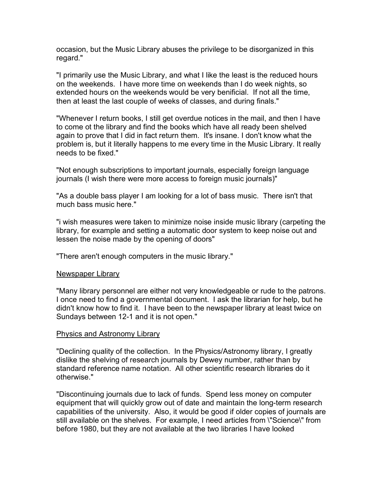occasion, but the Music Library abuses the privilege to be disorganized in this regard."

"I primarily use the Music Library, and what I like the least is the reduced hours on the weekends. I have more time on weekends than I do week nights, so extended hours on the weekends would be very benificial. If not all the time, then at least the last couple of weeks of classes, and during finals."

"Whenever I return books, I still get overdue notices in the mail, and then I have to come ot the library and find the books which have all ready been shelved again to prove that I did in fact return them. It's insane. I don't know what the problem is, but it literally happens to me every time in the Music Library. It really needs to be fixed."

"Not enough subscriptions to important journals, especially foreign language journals (I wish there were more access to foreign music journals)"

"As a double bass player I am looking for a lot of bass music. There isn't that much bass music here."

"i wish measures were taken to minimize noise inside music library (carpeting the library, for example and setting a automatic door system to keep noise out and lessen the noise made by the opening of doors"

"There aren't enough computers in the music library."

### Newspaper Library

"Many library personnel are either not very knowledgeable or rude to the patrons. I once need to find a governmental document. I ask the librarian for help, but he didn't know how to find it. I have been to the newspaper library at least twice on Sundays between 12-1 and it is not open."

### Physics and Astronomy Library

"Declining quality of the collection. In the Physics/Astronomy library, I greatly dislike the shelving of research journals by Dewey number, rather than by standard reference name notation. All other scientific research libraries do it otherwise."

"Discontinuing journals due to lack of funds. Spend less money on computer equipment that will quickly grow out of date and maintain the long-term research capabilities of the university. Also, it would be good if older copies of journals are still available on the shelves. For example, I need articles from \"Science\" from before 1980, but they are not available at the two libraries I have looked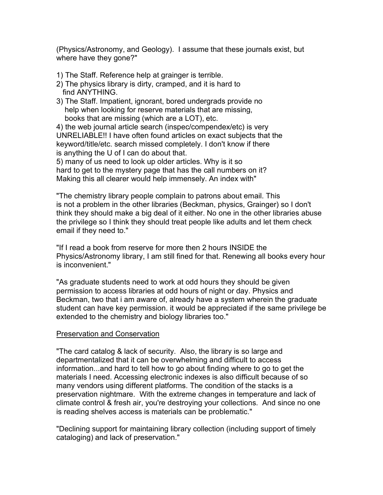(Physics/Astronomy, and Geology). I assume that these journals exist, but where have they gone?"

- 1) The Staff. Reference help at grainger is terrible.
- 2) The physics library is dirty, cramped, and it is hard to find ANYTHING.
- 3) The Staff. Impatient, ignorant, bored undergrads provide no help when looking for reserve materials that are missing, books that are missing (which are a LOT), etc.

4) the web journal article search (inspec/compendex/etc) is very UNRELIABLE!! I have often found articles on exact subjects that the keyword/title/etc. search missed completely. I don't know if there is anything the U of I can do about that.

5) many of us need to look up older articles. Why is it so hard to get to the mystery page that has the call numbers on it? Making this all clearer would help immensely. An index with"

"The chemistry library people complain to patrons about email. This is not a problem in the other libraries (Beckman, physics, Grainger) so I don't think they should make a big deal of it either. No one in the other libraries abuse the privilege so I think they should treat people like adults and let them check email if they need to."

"If I read a book from reserve for more then 2 hours INSIDE the Physics/Astronomy library, I am still fined for that. Renewing all books every hour is inconvenient."

"As graduate students need to work at odd hours they should be given permission to access libraries at odd hours of night or day. Physics and Beckman, two that i am aware of, already have a system wherein the graduate student can have key permission. it would be appreciated if the same privilege be extended to the chemistry and biology libraries too."

### Preservation and Conservation

"The card catalog & lack of security. Also, the library is so large and departmentalized that it can be overwhelming and difficult to access information...and hard to tell how to go about finding where to go to get the materials I need. Accessing electronic indexes is also difficult because of so many vendors using different platforms. The condition of the stacks is a preservation nightmare. With the extreme changes in temperature and lack of climate control & fresh air, you're destroying your collections. And since no one is reading shelves access is materials can be problematic."

"Declining support for maintaining library collection (including support of timely cataloging) and lack of preservation."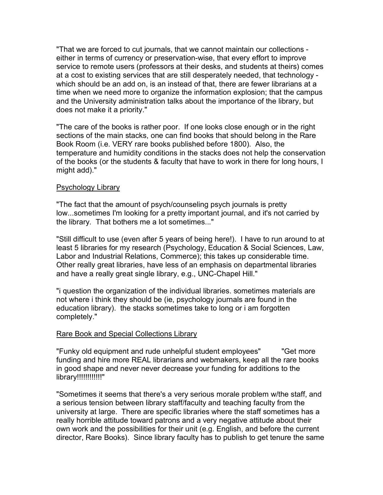"That we are forced to cut journals, that we cannot maintain our collections either in terms of currency or preservation-wise, that every effort to improve service to remote users (professors at their desks, and students at theirs) comes at a cost to existing services that are still desperately needed, that technology which should be an add on, is an instead of that, there are fewer librarians at a time when we need more to organize the information explosion; that the campus and the University administration talks about the importance of the library, but does not make it a priority."

"The care of the books is rather poor. If one looks close enough or in the right sections of the main stacks, one can find books that should belong in the Rare Book Room (i.e. VERY rare books published before 1800). Also, the temperature and humidity conditions in the stacks does not help the conservation of the books (or the students & faculty that have to work in there for long hours, I might add)."

### Psychology Library

"The fact that the amount of psych/counseling psych journals is pretty low...sometimes I'm looking for a pretty important journal, and it's not carried by the library. That bothers me a lot sometimes..."

"Still difficult to use (even after 5 years of being here!). I have to run around to at least 5 libraries for my research (Psychology, Education & Social Sciences, Law, Labor and Industrial Relations, Commerce); this takes up considerable time. Other really great libraries, have less of an emphasis on departmental libraries and have a really great single library, e.g., UNC-Chapel Hill."

"i question the organization of the individual libraries. sometimes materials are not where i think they should be (ie, psychology journals are found in the education library). the stacks sometimes take to long or i am forgotten completely."

### Rare Book and Special Collections Library

"Funky old equipment and rude unhelpful student employees" "Get more funding and hire more REAL librarians and webmakers, keep all the rare books in good shape and never never decrease your funding for additions to the library!!!!!!!!!!!!"

"Sometimes it seems that there's a very serious morale problem w/the staff, and a serious tension between library staff/faculty and teaching faculty from the university at large. There are specific libraries where the staff sometimes has a really horrible attitude toward patrons and a very negative attitude about their own work and the possibilities for their unit (e.g. English, and before the current director, Rare Books). Since library faculty has to publish to get tenure the same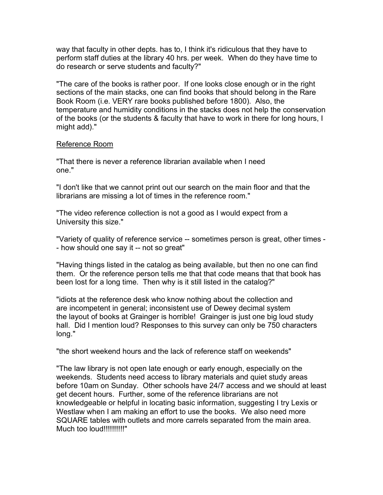way that faculty in other depts. has to, I think it's ridiculous that they have to perform staff duties at the library 40 hrs. per week. When do they have time to do research or serve students and faculty?"

"The care of the books is rather poor. If one looks close enough or in the right sections of the main stacks, one can find books that should belong in the Rare Book Room (i.e. VERY rare books published before 1800). Also, the temperature and humidity conditions in the stacks does not help the conservation of the books (or the students & faculty that have to work in there for long hours, I might add)."

# Reference Room

"That there is never a reference librarian available when I need one."

"I don't like that we cannot print out our search on the main floor and that the librarians are missing a lot of times in the reference room."

"The video reference collection is not a good as I would expect from a University this size."

"Variety of quality of reference service -- sometimes person is great, other times - - how should one say it -- not so great"

"Having things listed in the catalog as being available, but then no one can find them. Or the reference person tells me that that code means that that book has been lost for a long time. Then why is it still listed in the catalog?"

"idiots at the reference desk who know nothing about the collection and are incompetent in general; inconsistent use of Dewey decimal system the layout of books at Grainger is horrible! Grainger is just one big loud study hall. Did I mention loud? Responses to this survey can only be 750 characters long."

"the short weekend hours and the lack of reference staff on weekends"

"The law library is not open late enough or early enough, especially on the weekends. Students need access to library materials and quiet study areas before 10am on Sunday. Other schools have 24/7 access and we should at least get decent hours. Further, some of the reference librarians are not knowledgeable or helpful in locating basic information, suggesting I try Lexis or Westlaw when I am making an effort to use the books. We also need more SQUARE tables with outlets and more carrels separated from the main area. Much too loud!!!!!!!!!!"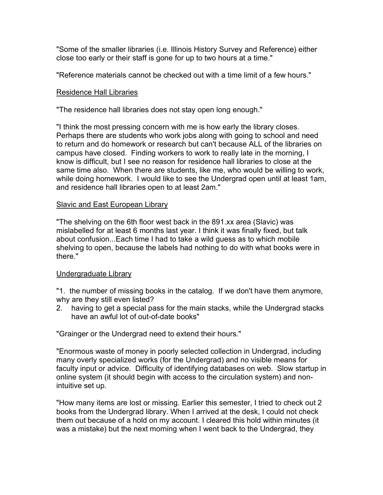"Some of the smaller libraries (i.e. Illinois History Survey and Reference) either close too early or their staff is gone for up to two hours at a time."

"Reference materials cannot be checked out with a time limit of a few hours."

### Residence Hall Libraries

"The residence hall libraries does not stay open long enough."

"I think the most pressing concern with me is how early the library closes. Perhaps there are students who work jobs along with going to school and need to return and do homework or research but can't because ALL of the libraries on campus have closed. Finding workers to work to really late in the morning, I know is difficult, but I see no reason for residence hall libraries to close at the same time also. When there are students, like me, who would be willing to work, while doing homework. I would like to see the Undergrad open until at least 1am, and residence hall libraries open to at least 2am."

### Slavic and East European Library

"The shelving on the 6th floor west back in the 891.xx area (Slavic) was mislabelled for at least 6 months last year. I think it was finally fixed, but talk about confusion...Each time I had to take a wild guess as to which mobile shelving to open, because the labels had nothing to do with what books were in there."

### Undergraduate Library

"1. the number of missing books in the catalog. If we don't have them anymore, why are they still even listed?

2. having to get a special pass for the main stacks, while the Undergrad stacks have an awful lot of out-of-date books"

"Grainger or the Undergrad need to extend their hours."

"Enormous waste of money in poorly selected collection in Undergrad, including many overly specialized works (for the Undergrad) and no visible means for faculty input or advice. Difficulty of identifying databases on web. Slow startup in online system (it should begin with access to the circulation system) and nonintuitive set up.

"How many items are lost or missing. Earlier this semester, I tried to check out 2 books from the Undergrad library. When I arrived at the desk, I could not check them out because of a hold on my account. I cleared this hold within minutes (it was a mistake) but the next morning when I went back to the Undergrad, they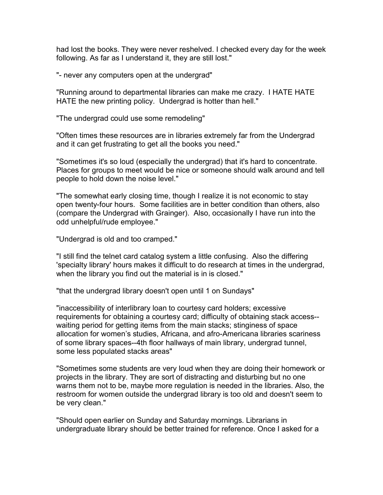had lost the books. They were never reshelved. I checked every day for the week following. As far as I understand it, they are still lost."

"- never any computers open at the undergrad"

"Running around to departmental libraries can make me crazy. I HATE HATE HATE the new printing policy. Undergrad is hotter than hell."

"The undergrad could use some remodeling"

"Often times these resources are in libraries extremely far from the Undergrad and it can get frustrating to get all the books you need."

"Sometimes it's so loud (especially the undergrad) that it's hard to concentrate. Places for groups to meet would be nice or someone should walk around and tell people to hold down the noise level."

"The somewhat early closing time, though I realize it is not economic to stay open twenty-four hours. Some facilities are in better condition than others, also (compare the Undergrad with Grainger). Also, occasionally I have run into the odd unhelpful/rude employee."

"Undergrad is old and too cramped."

"I still find the telnet card catalog system a little confusing. Also the differing 'specialty library' hours makes it difficult to do research at times in the undergrad, when the library you find out the material is in is closed."

"that the undergrad library doesn't open until 1 on Sundays"

"inaccessibility of interlibrary loan to courtesy card holders; excessive requirements for obtaining a courtesy card; difficulty of obtaining stack access- waiting period for getting items from the main stacks; stinginess of space allocation for women's studies, Africana, and afro-Americana libraries scariness of some library spaces--4th floor hallways of main library, undergrad tunnel, some less populated stacks areas"

"Sometimes some students are very loud when they are doing their homework or projects in the library. They are sort of distracting and disturbing but no one warns them not to be, maybe more regulation is needed in the libraries. Also, the restroom for women outside the undergrad library is too old and doesn't seem to be very clean."

"Should open earlier on Sunday and Saturday mornings. Librarians in undergraduate library should be better trained for reference. Once I asked for a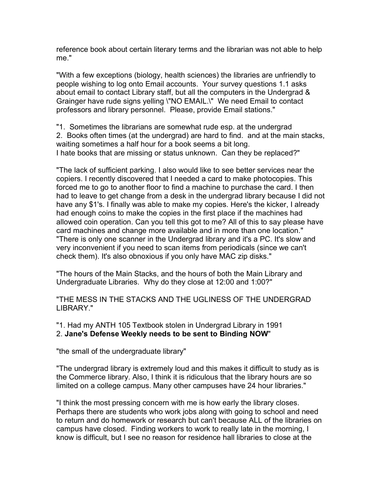reference book about certain literary terms and the librarian was not able to help me."

"With a few exceptions (biology, health sciences) the libraries are unfriendly to people wishing to log onto Email accounts. Your survey questions 1.1 asks about email to contact Library staff, but all the computers in the Undergrad & Grainger have rude signs yelling \"NO EMAIL.\" We need Email to contact professors and library personnel. Please, provide Email stations."

"1. Sometimes the librarians are somewhat rude esp. at the undergrad 2. Books often times (at the undergrad) are hard to find. and at the main stacks, waiting sometimes a half hour for a book seems a bit long. I hate books that are missing or status unknown. Can they be replaced?"

"The lack of sufficient parking. I also would like to see better services near the copiers. I recently discovered that I needed a card to make photocopies. This forced me to go to another floor to find a machine to purchase the card. I then had to leave to get change from a desk in the undergrad library because I did not have any \$1's. I finally was able to make my copies. Here's the kicker, I already had enough coins to make the copies in the first place if the machines had allowed coin operation. Can you tell this got to me? All of this to say please have card machines and change more available and in more than one location." "There is only one scanner in the Undergrad library and it's a PC. It's slow and very inconvenient if you need to scan items from periodicals (since we can't check them). It's also obnoxious if you only have MAC zip disks."

"The hours of the Main Stacks, and the hours of both the Main Library and Undergraduate Libraries. Why do they close at 12:00 and 1:00?"

"THE MESS IN THE STACKS AND THE UGLINESS OF THE UNDERGRAD LIBRARY."

"1. Had my ANTH 105 Textbook stolen in Undergrad Library in 1991 2. **Jane's Defense Weekly needs to be sent to Binding NOW**"

"the small of the undergraduate library"

"The undergrad library is extremely loud and this makes it difficult to study as is the Commerce library. Also, I think it is ridiculous that the library hours are so limited on a college campus. Many other campuses have 24 hour libraries."

"I think the most pressing concern with me is how early the library closes. Perhaps there are students who work jobs along with going to school and need to return and do homework or research but can't because ALL of the libraries on campus have closed. Finding workers to work to really late in the morning, I know is difficult, but I see no reason for residence hall libraries to close at the